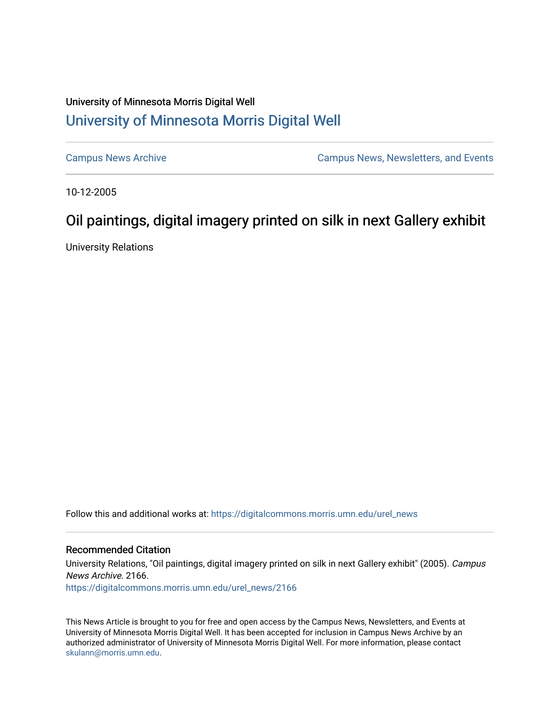## University of Minnesota Morris Digital Well [University of Minnesota Morris Digital Well](https://digitalcommons.morris.umn.edu/)

[Campus News Archive](https://digitalcommons.morris.umn.edu/urel_news) [Campus News, Newsletters, and Events](https://digitalcommons.morris.umn.edu/externalrel) 

10-12-2005

## Oil paintings, digital imagery printed on silk in next Gallery exhibit

University Relations

Follow this and additional works at: [https://digitalcommons.morris.umn.edu/urel\\_news](https://digitalcommons.morris.umn.edu/urel_news?utm_source=digitalcommons.morris.umn.edu%2Furel_news%2F2166&utm_medium=PDF&utm_campaign=PDFCoverPages) 

## Recommended Citation

University Relations, "Oil paintings, digital imagery printed on silk in next Gallery exhibit" (2005). Campus News Archive. 2166.

[https://digitalcommons.morris.umn.edu/urel\\_news/2166](https://digitalcommons.morris.umn.edu/urel_news/2166?utm_source=digitalcommons.morris.umn.edu%2Furel_news%2F2166&utm_medium=PDF&utm_campaign=PDFCoverPages) 

This News Article is brought to you for free and open access by the Campus News, Newsletters, and Events at University of Minnesota Morris Digital Well. It has been accepted for inclusion in Campus News Archive by an authorized administrator of University of Minnesota Morris Digital Well. For more information, please contact [skulann@morris.umn.edu.](mailto:skulann@morris.umn.edu)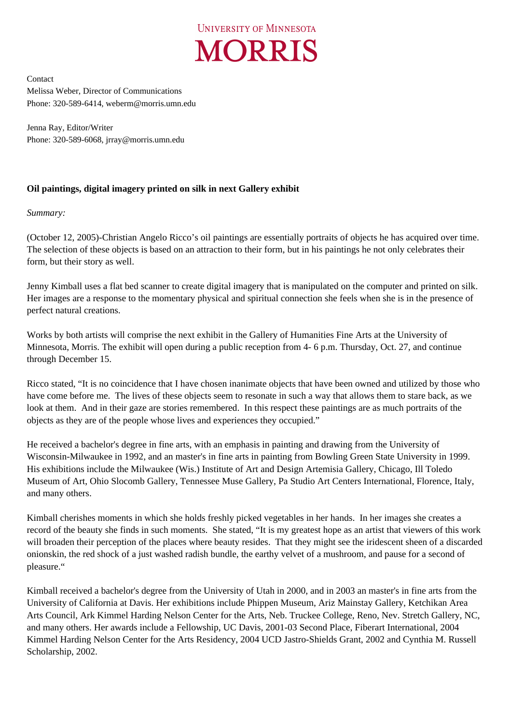

Contact Melissa Weber, Director of Communications Phone: 320-589-6414, weberm@morris.umn.edu

Jenna Ray, Editor/Writer Phone: 320-589-6068, jrray@morris.umn.edu

## **Oil paintings, digital imagery printed on silk in next Gallery exhibit**

*Summary:* 

(October 12, 2005)-Christian Angelo Ricco's oil paintings are essentially portraits of objects he has acquired over time. The selection of these objects is based on an attraction to their form, but in his paintings he not only celebrates their form, but their story as well.

Jenny Kimball uses a flat bed scanner to create digital imagery that is manipulated on the computer and printed on silk. Her images are a response to the momentary physical and spiritual connection she feels when she is in the presence of perfect natural creations.

Works by both artists will comprise the next exhibit in the Gallery of Humanities Fine Arts at the University of Minnesota, Morris. The exhibit will open during a public reception from 4- 6 p.m. Thursday, Oct. 27, and continue through December 15.

Ricco stated, "It is no coincidence that I have chosen inanimate objects that have been owned and utilized by those who have come before me. The lives of these objects seem to resonate in such a way that allows them to stare back, as we look at them. And in their gaze are stories remembered. In this respect these paintings are as much portraits of the objects as they are of the people whose lives and experiences they occupied."

He received a bachelor's degree in fine arts, with an emphasis in painting and drawing from the University of Wisconsin-Milwaukee in 1992, and an master's in fine arts in painting from Bowling Green State University in 1999. His exhibitions include the Milwaukee (Wis.) Institute of Art and Design Artemisia Gallery, Chicago, Ill Toledo Museum of Art, Ohio Slocomb Gallery, Tennessee Muse Gallery, Pa Studio Art Centers International, Florence, Italy, and many others.

Kimball cherishes moments in which she holds freshly picked vegetables in her hands. In her images she creates a record of the beauty she finds in such moments. She stated, "It is my greatest hope as an artist that viewers of this work will broaden their perception of the places where beauty resides. That they might see the iridescent sheen of a discarded onionskin, the red shock of a just washed radish bundle, the earthy velvet of a mushroom, and pause for a second of pleasure."

Kimball received a bachelor's degree from the University of Utah in 2000, and in 2003 an master's in fine arts from the University of California at Davis. Her exhibitions include Phippen Museum, Ariz Mainstay Gallery, Ketchikan Area Arts Council, Ark Kimmel Harding Nelson Center for the Arts, Neb. Truckee College, Reno, Nev. Stretch Gallery, NC, and many others. Her awards include a Fellowship, UC Davis, 2001-03 Second Place, Fiberart International, 2004 Kimmel Harding Nelson Center for the Arts Residency, 2004 UCD Jastro-Shields Grant, 2002 and Cynthia M. Russell Scholarship, 2002.